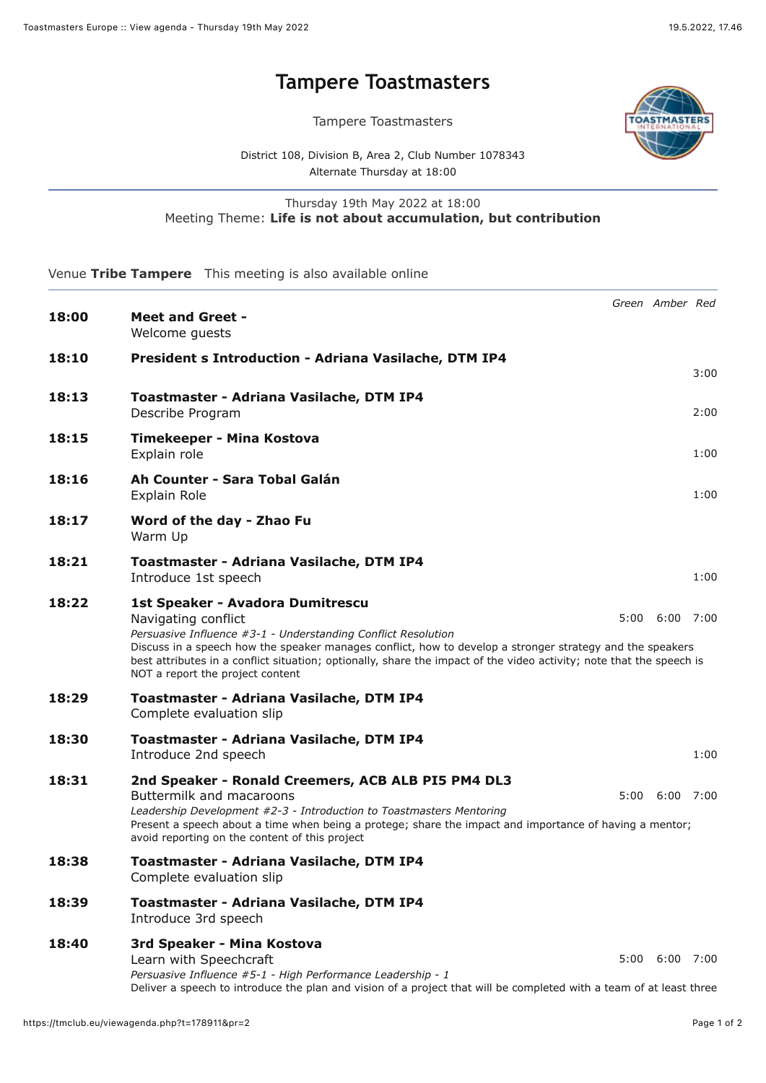## **[Tampere Toastmasters](https://tmclub.eu/view_meeting.php?t=178911)**

Tampere Toastmasters



District 108, Division B, Area 2, Club Number 1078343 Alternate Thursday at 18:00

## Thursday 19th May 2022 at 18:00 Meeting Theme: **Life is not about accumulation, but contribution**

Venue **Tribe Tampere** This meeting is also available online

| 18:00 | <b>Meet and Greet -</b><br>Welcome quests                                                                                                                                                                                                                                                                                                                                                         | Green Amber Red      |      |
|-------|---------------------------------------------------------------------------------------------------------------------------------------------------------------------------------------------------------------------------------------------------------------------------------------------------------------------------------------------------------------------------------------------------|----------------------|------|
| 18:10 | President s Introduction - Adriana Vasilache, DTM IP4                                                                                                                                                                                                                                                                                                                                             |                      | 3:00 |
| 18:13 | Toastmaster - Adriana Vasilache, DTM IP4<br>Describe Program                                                                                                                                                                                                                                                                                                                                      |                      | 2:00 |
| 18:15 | Timekeeper - Mina Kostova<br>Explain role                                                                                                                                                                                                                                                                                                                                                         |                      | 1:00 |
| 18:16 | Ah Counter - Sara Tobal Galán<br>Explain Role                                                                                                                                                                                                                                                                                                                                                     |                      | 1:00 |
| 18:17 | Word of the day - Zhao Fu<br>Warm Up                                                                                                                                                                                                                                                                                                                                                              |                      |      |
| 18:21 | Toastmaster - Adriana Vasilache, DTM IP4<br>Introduce 1st speech                                                                                                                                                                                                                                                                                                                                  |                      | 1:00 |
| 18:22 | 1st Speaker - Avadora Dumitrescu<br>Navigating conflict<br>Persuasive Influence #3-1 - Understanding Conflict Resolution<br>Discuss in a speech how the speaker manages conflict, how to develop a stronger strategy and the speakers<br>best attributes in a conflict situation; optionally, share the impact of the video activity; note that the speech is<br>NOT a report the project content | $5:00$ $6:00$ $7:00$ |      |
| 18:29 | Toastmaster - Adriana Vasilache, DTM IP4<br>Complete evaluation slip                                                                                                                                                                                                                                                                                                                              |                      |      |
| 18:30 | Toastmaster - Adriana Vasilache, DTM IP4<br>Introduce 2nd speech                                                                                                                                                                                                                                                                                                                                  |                      | 1:00 |
| 18:31 | 2nd Speaker - Ronald Creemers, ACB ALB PI5 PM4 DL3<br>Buttermilk and macaroons<br>Leadership Development #2-3 - Introduction to Toastmasters Mentoring<br>Present a speech about a time when being a protege; share the impact and importance of having a mentor;<br>avoid reporting on the content of this project                                                                               | $5:00 \quad 6:00$    | 7:00 |
| 18:38 | Toastmaster - Adriana Vasilache, DTM IP4<br>Complete evaluation slip                                                                                                                                                                                                                                                                                                                              |                      |      |
| 18:39 | Toastmaster - Adriana Vasilache, DTM IP4<br>Introduce 3rd speech                                                                                                                                                                                                                                                                                                                                  |                      |      |
| 18:40 | 3rd Speaker - Mina Kostova<br>Learn with Speechcraft<br>Persuasive Influence #5-1 - High Performance Leadership - 1<br>Deliver a speech to introduce the plan and vision of a project that will be completed with a team of at least three                                                                                                                                                        | $5:00$ $6:00$ $7:00$ |      |